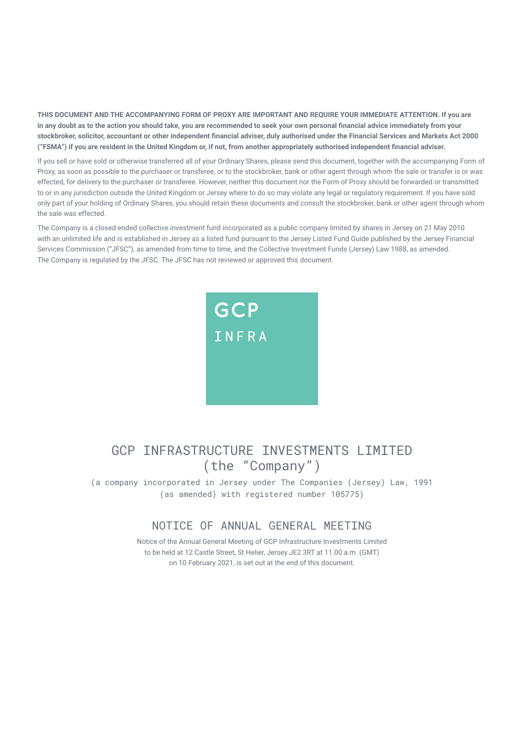**THIS DOCUMENT AND THE ACCOMPANYING FORM OF PROXY ARE IMPORTANT AND REQUIRE YOUR IMMEDIATE ATTENTION. If you are in any doubt as to the action you should take, you are recommended to seek your own personal financial advice immediately from your stockbroker, solicitor, accountant or other independent financial adviser, duly authorised under the Financial Services and Markets Act 2000 ("FSMA") if you are resident in the United Kingdom or, if not, from another appropriately authorised independent financial adviser.**

If you sell or have sold or otherwise transferred all of your Ordinary Shares, please send this document, together with the accompanying Form of Proxy, as soon as possible to the purchaser or transferee, or to the stockbroker, bank or other agent through whom the sale or transfer is or was effected, for delivery to the purchaser or transferee. However, neither this document nor the Form of Proxy should be forwarded or transmitted to or in any jurisdiction outside the United Kingdom or Jersey where to do so may violate any legal or regulatory requirement. If you have sold only part of your holding of Ordinary Shares, you should retain these documents and consult the stockbroker, bank or other agent through whom the sale was effected.

The Company is a closed-ended collective investment fund incorporated as a public company limited by shares in Jersey on 21 May 2010 with an unlimited life and is established in Jersey as a listed fund pursuant to the Jersey Listed Fund Guide published by the Jersey Financial Services Commission ("JFSC"), as amended from time to time, and the Collective Investment Funds (Jersey) Law 1988, as amended. The Company is regulated by the JFSC. The JFSC has not reviewed or approved this document.



## GCP INFRASTRUCTURE INVESTMENTS LIMITED (the "Company")

(a company incorporated in Jersey under The Companies (Jersey) Law, 1991 (as amended) with registered number 105775)

### NOTICE OF ANNUAL GENERAL MEETING

Notice of the Annual General Meeting of GCP Infrastructure Investments Limited to be held at 12 Castle Street, St Helier, Jersey JE2 3RT at 11.00 a.m. (GMT) on 10 February 2021, is set out at the end of this document.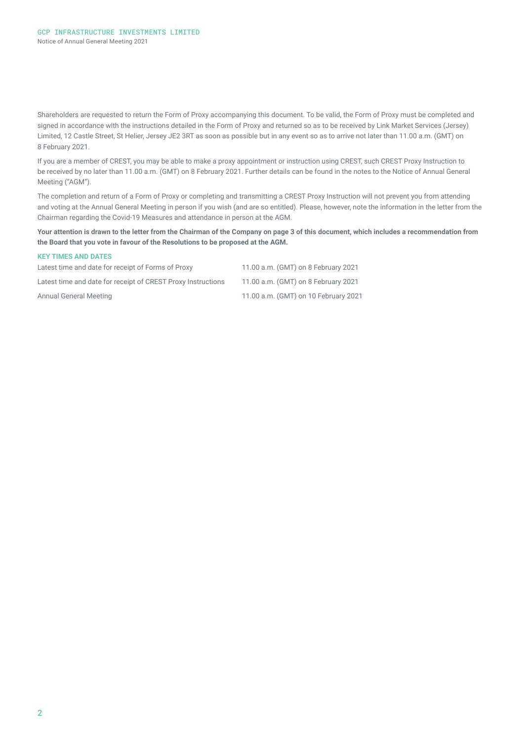Shareholders are requested to return the Form of Proxy accompanying this document. To be valid, the Form of Proxy must be completed and signed in accordance with the instructions detailed in the Form of Proxy and returned so as to be received by Link Market Services (Jersey) Limited, 12 Castle Street, St Helier, Jersey JE2 3RT as soon as possible but in any event so as to arrive not later than 11.00 a.m. (GMT) on 8 February 2021.

If you are a member of CREST, you may be able to make a proxy appointment or instruction using CREST, such CREST Proxy Instruction to be received by no later than 11.00 a.m. (GMT) on 8 February 2021. Further details can be found in the notes to the Notice of Annual General Meeting ("AGM").

The completion and return of a Form of Proxy or completing and transmitting a CREST Proxy Instruction will not prevent you from attending and voting at the Annual General Meeting in person if you wish (and are so entitled). Please, however, note the information in the letter from the Chairman regarding the Covid-19 Measures and attendance in person at the AGM.

**Your attention is drawn to the letter from the Chairman of the Company on page 3 of this document, which includes a recommendation from the Board that you vote in favour of the Resolutions to be proposed at the AGM.** 

#### **KEY TIMES AND DATES**

| Latest time and date for receipt of Forms of Proxy           | 11.00 a.m. (GMT) on 8 February 2021  |
|--------------------------------------------------------------|--------------------------------------|
| Latest time and date for receipt of CREST Proxy Instructions | 11.00 a.m. (GMT) on 8 February 2021  |
| Annual General Meeting                                       | 11.00 a.m. (GMT) on 10 February 2021 |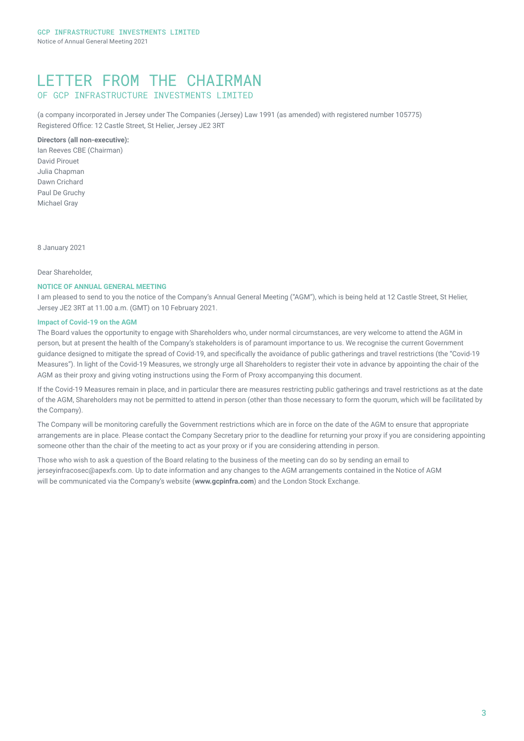## LETTER FROM THE CHAIRMAN OF GCP INFRASTRUCTURE INVESTMENTS LIMITED

(a company incorporated in Jersey under The Companies (Jersey) Law 1991 (as amended) with registered number 105775) Registered Office: 12 Castle Street, St Helier, Jersey JE2 3RT

#### **Directors (all non-executive):**

Ian Reeves CBE (Chairman) David Pirouet Julia Chapman Dawn Crichard Paul De Gruchy Michael Gray

8 January 2021

Dear Shareholder,

#### **NOTICE OF ANNUAL GENERAL MEETING**

I am pleased to send to you the notice of the Company's Annual General Meeting ("AGM"), which is being held at 12 Castle Street, St Helier, Jersey JE2 3RT at 11.00 a.m. (GMT) on 10 February 2021.

#### **Impact of Covid-19 on the AGM**

The Board values the opportunity to engage with Shareholders who, under normal circumstances, are very welcome to attend the AGM in person, but at present the health of the Company's stakeholders is of paramount importance to us. We recognise the current Government guidance designed to mitigate the spread of Covid-19, and specifically the avoidance of public gatherings and travel restrictions (the "Covid-19 Measures"). In light of the Covid-19 Measures, we strongly urge all Shareholders to register their vote in advance by appointing the chair of the AGM as their proxy and giving voting instructions using the Form of Proxy accompanying this document.

If the Covid-19 Measures remain in place, and in particular there are measures restricting public gatherings and travel restrictions as at the date of the AGM, Shareholders may not be permitted to attend in person (other than those necessary to form the quorum, which will be facilitated by the Company).

The Company will be monitoring carefully the Government restrictions which are in force on the date of the AGM to ensure that appropriate arrangements are in place. Please contact the Company Secretary prior to the deadline for returning your proxy if you are considering appointing someone other than the chair of the meeting to act as your proxy or if you are considering attending in person.

Those who wish to ask a question of the Board relating to the business of the meeting can do so by sending an email to jerseyinfracosec@apexfs.com. Up to date information and any changes to the AGM arrangements contained in the Notice of AGM will be communicated via the Company's website (**www.gcpinfra.com**) and the London Stock Exchange.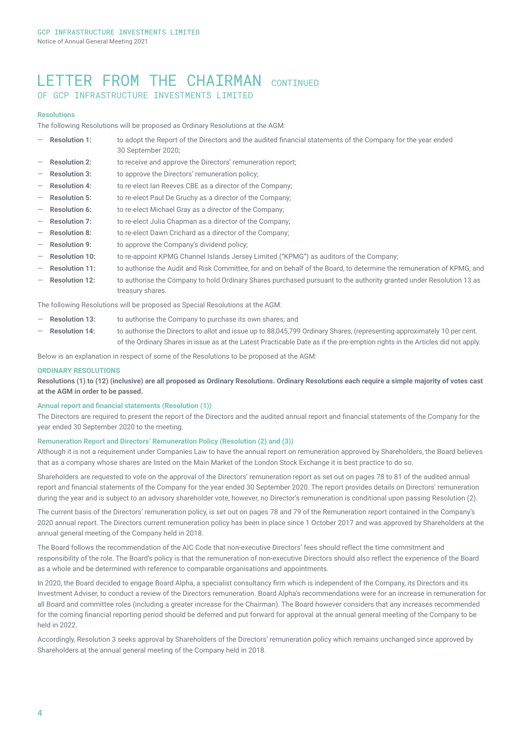### LETTER FROM THE CHAIRMAN CONTINUED OF GCP INFRASTRUCTURE INVESTMENTS LIMITED

#### **Resolutions**

The following Resolutions will be proposed as Ordinary Resolutions at the AGM:

- Resolution 1: to adopt the Report of the Directors and the audited financial statements of the Company for the year ended 30 September 2020;
- **Resolution 2:** to receive and approve the Directors' remuneration report;
- Resolution 3: to approve the Directors' remuneration policy;
- Resolution 4: to re-elect Ian Reeves CBE as a director of the Company;
- Resolution 5: **b** to re-elect Paul De Gruchy as a director of the Company;
- **Resolution 6:** to re-elect Michael Gray as a director of the Company:
- Resolution 7: to re-elect Julia Chapman as a director of the Company;
- Resolution 8: to re-elect Dawn Crichard as a director of the Company;
- **Resolution 9:** to approve the Company's dividend policy;
- Resolution 10: to re-appoint KPMG Channel Islands Jersey Limited ("KPMG") as auditors of the Company;
- Resolution 11: to authorise the Audit and Risk Committee, for and on behalf of the Board, to determine the remuneration of KPMG; and
- ― **Resolution 12:** to authorise the Company to hold Ordinary Shares purchased pursuant to the authority granted under Resolution 13 as treasury shares.

The following Resolutions will be proposed as Special Resolutions at the AGM:

- **Resolution 13:** to authorise the Company to purchase its own shares; and
- Resolution 14: to authorise the Directors to allot and issue up to 88,045,799 Ordinary Shares, (representing approximately 10 per cent. of the Ordinary Shares in issue as at the Latest Practicable Date as if the pre-emption rights in the Articles did not apply.

Below is an explanation in respect of some of the Resolutions to be proposed at the AGM:

#### **ORDINARY RESOLUTIONS**

**Resolutions (1) to (12) (inclusive) are all proposed as Ordinary Resolutions. Ordinary Resolutions each require a simple majority of votes cast at the AGM in order to be passed.**

#### **Annual report and financial statements (Resolution (1))**

The Directors are required to present the report of the Directors and the audited annual report and financial statements of the Company for the year ended 30 September 2020 to the meeting.

#### **Remuneration Report and Directors' Remuneration Policy (Resolution (2) and (3))**

Although it is not a requirement under Companies Law to have the annual report on remuneration approved by Shareholders, the Board believes that as a company whose shares are listed on the Main Market of the London Stock Exchange it is best practice to do so.

Shareholders are requested to vote on the approval of the Directors' remuneration report as set out on pages 78 to 81 of the audited annual report and financial statements of the Company for the year ended 30 September 2020. The report provides details on Directors' remuneration during the year and is subject to an advisory shareholder vote, however, no Director's remuneration is conditional upon passing Resolution (2).

The current basis of the Directors' remuneration policy, is set out on pages 78 and 79 of the Remuneration report contained in the Company's 2020 annual report. The Directors current remuneration policy has been in place since 1 October 2017 and was approved by Shareholders at the annual general meeting of the Company held in 2018.

The Board follows the recommendation of the AIC Code that non-executive Directors' fees should reflect the time commitment and responsibility of the role. The Board's policy is that the remuneration of non-executive Directors should also reflect the experience of the Board as a whole and be determined with reference to comparable organisations and appointments.

In 2020, the Board decided to engage Board Alpha, a specialist consultancy firm which is independent of the Company, its Directors and its Investment Adviser, to conduct a review of the Directors remuneration. Board Alpha's recommendations were for an increase in remuneration for all Board and committee roles (including a greater increase for the Chairman). The Board however considers that any increases recommended for the coming financial reporting period should be deferred and put forward for approval at the annual general meeting of the Company to be held in 2022.

Accordingly, Resolution 3 seeks approval by Shareholders of the Directors' remuneration policy which remains unchanged since approved by Shareholders at the annual general meeting of the Company held in 2018.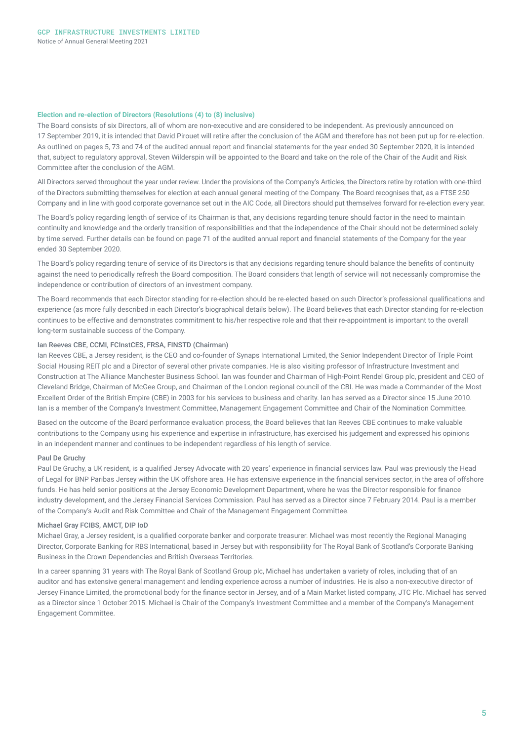#### **Election and re-election of Directors (Resolutions (4) to (8) inclusive)**

The Board consists of six Directors, all of whom are non-executive and are considered to be independent. As previously announced on 17 September 2019, it is intended that David Pirouet will retire after the conclusion of the AGM and therefore has not been put up for re-election. As outlined on pages 5, 73 and 74 of the audited annual report and financial statements for the year ended 30 September 2020, it is intended that, subject to regulatory approval, Steven Wilderspin will be appointed to the Board and take on the role of the Chair of the Audit and Risk Committee after the conclusion of the AGM.

All Directors served throughout the year under review. Under the provisions of the Company's Articles, the Directors retire by rotation with one-third of the Directors submitting themselves for election at each annual general meeting of the Company. The Board recognises that, as a FTSE 250 Company and in line with good corporate governance set out in the AIC Code, all Directors should put themselves forward for re-election every year.

The Board's policy regarding length of service of its Chairman is that, any decisions regarding tenure should factor in the need to maintain continuity and knowledge and the orderly transition of responsibilities and that the independence of the Chair should not be determined solely by time served. Further details can be found on page 71 of the audited annual report and financial statements of the Company for the year ended 30 September 2020.

The Board's policy regarding tenure of service of its Directors is that any decisions regarding tenure should balance the benefits of continuity against the need to periodically refresh the Board composition. The Board considers that length of service will not necessarily compromise the independence or contribution of directors of an investment company.

The Board recommends that each Director standing for re-election should be re-elected based on such Director's professional qualifications and experience (as more fully described in each Director's biographical details below). The Board believes that each Director standing for re-election continues to be effective and demonstrates commitment to his/her respective role and that their re-appointment is important to the overall long-term sustainable success of the Company.

#### Ian Reeves CBE, CCMI, FCInstCES, FRSA, FINSTD (Chairman)

Ian Reeves CBE, a Jersey resident, is the CEO and co-founder of Synaps International Limited, the Senior Independent Director of Triple Point Social Housing REIT plc and a Director of several other private companies. He is also visiting professor of Infrastructure Investment and Construction at The Alliance Manchester Business School. Ian was founder and Chairman of High-Point Rendel Group plc, president and CEO of Cleveland Bridge, Chairman of McGee Group, and Chairman of the London regional council of the CBI. He was made a Commander of the Most Excellent Order of the British Empire (CBE) in 2003 for his services to business and charity. Ian has served as a Director since 15 June 2010. Ian is a member of the Company's Investment Committee, Management Engagement Committee and Chair of the Nomination Committee.

Based on the outcome of the Board performance evaluation process, the Board believes that Ian Reeves CBE continues to make valuable contributions to the Company using his experience and expertise in infrastructure, has exercised his judgement and expressed his opinions in an independent manner and continues to be independent regardless of his length of service.

#### Paul De Gruchy

Paul De Gruchy, a UK resident, is a qualified Jersey Advocate with 20 years' experience in financial services law. Paul was previously the Head of Legal for BNP Paribas Jersey within the UK offshore area. He has extensive experience in the financial services sector, in the area of offshore funds. He has held senior positions at the Jersey Economic Development Department, where he was the Director responsible for finance industry development, and the Jersey Financial Services Commission. Paul has served as a Director since 7 February 2014. Paul is a member of the Company's Audit and Risk Committee and Chair of the Management Engagement Committee.

#### Michael Gray FCIBS, AMCT, DIP IoD

Michael Gray, a Jersey resident, is a qualified corporate banker and corporate treasurer. Michael was most recently the Regional Managing Director, Corporate Banking for RBS International, based in Jersey but with responsibility for The Royal Bank of Scotland's Corporate Banking Business in the Crown Dependencies and British Overseas Territories.

In a career spanning 31 years with The Royal Bank of Scotland Group plc, Michael has undertaken a variety of roles, including that of an auditor and has extensive general management and lending experience across a number of industries. He is also a non-executive director of Jersey Finance Limited, the promotional body for the finance sector in Jersey, and of a Main Market listed company, JTC Plc. Michael has served as a Director since 1 October 2015. Michael is Chair of the Company's Investment Committee and a member of the Company's Management Engagement Committee.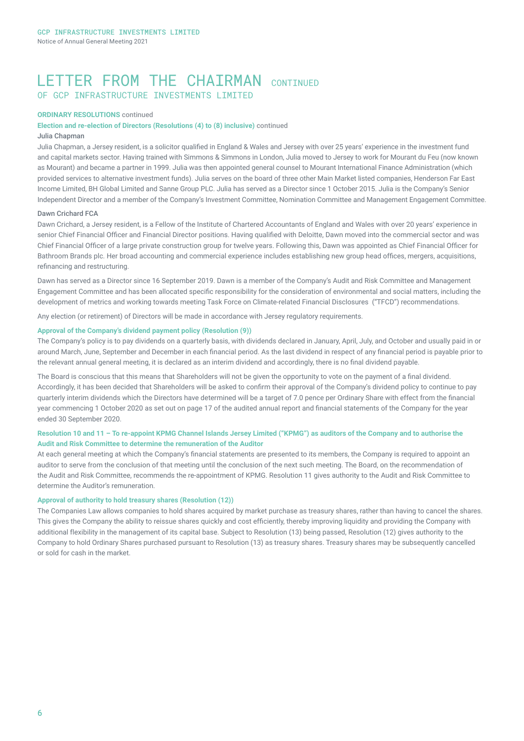## LETTER FROM THE CHATRMAN CONTINUED OF GCP INFRASTRUCTURE INVESTMENTS LIMITED

#### **ORDINARY RESOLUTIONS** continued

#### **Election and re-election of Directors (Resolutions (4) to (8) inclusive)** continued

#### Julia Chapman

Julia Chapman, a Jersey resident, is a solicitor qualified in England & Wales and Jersey with over 25 years' experience in the investment fund and capital markets sector. Having trained with Simmons & Simmons in London, Julia moved to Jersey to work for Mourant du Feu (now known as Mourant) and became a partner in 1999. Julia was then appointed general counsel to Mourant International Finance Administration (which provided services to alternative investment funds). Julia serves on the board of three other Main Market listed companies, Henderson Far East Income Limited, BH Global Limited and Sanne Group PLC. Julia has served as a Director since 1 October 2015. Julia is the Company's Senior Independent Director and a member of the Company's Investment Committee, Nomination Committee and Management Engagement Committee.

#### Dawn Crichard FCA

Dawn Crichard, a Jersey resident, is a Fellow of the Institute of Chartered Accountants of England and Wales with over 20 years' experience in senior Chief Financial Officer and Financial Director positions. Having qualified with Deloitte, Dawn moved into the commercial sector and was Chief Financial Officer of a large private construction group for twelve years. Following this, Dawn was appointed as Chief Financial Officer for Bathroom Brands plc. Her broad accounting and commercial experience includes establishing new group head offices, mergers, acquisitions, refinancing and restructuring.

Dawn has served as a Director since 16 September 2019. Dawn is a member of the Company's Audit and Risk Committee and Management Engagement Committee and has been allocated specific responsibility for the consideration of environmental and social matters, including the development of metrics and working towards meeting Task Force on Climate-related Financial Disclosures ("TFCD") recommendations.

Any election (or retirement) of Directors will be made in accordance with Jersey regulatory requirements.

#### **Approval of the Company's dividend payment policy (Resolution (9))**

The Company's policy is to pay dividends on a quarterly basis, with dividends declared in January, April, July, and October and usually paid in or around March, June, September and December in each financial period. As the last dividend in respect of any financial period is payable prior to the relevant annual general meeting, it is declared as an interim dividend and accordingly, there is no final dividend payable.

The Board is conscious that this means that Shareholders will not be given the opportunity to vote on the payment of a final dividend. Accordingly, it has been decided that Shareholders will be asked to confirm their approval of the Company's dividend policy to continue to pay quarterly interim dividends which the Directors have determined will be a target of 7.0 pence per Ordinary Share with effect from the financial year commencing 1 October 2020 as set out on page 17 of the audited annual report and financial statements of the Company for the year ended 30 September 2020.

#### **Resolution 10 and 11 – To re-appoint KPMG Channel Islands Jersey Limited ("KPMG") as auditors of the Company and to authorise the Audit and Risk Committee to determine the remuneration of the Auditor**

At each general meeting at which the Company's financial statements are presented to its members, the Company is required to appoint an auditor to serve from the conclusion of that meeting until the conclusion of the next such meeting. The Board, on the recommendation of the Audit and Risk Committee, recommends the re-appointment of KPMG. Resolution 11 gives authority to the Audit and Risk Committee to determine the Auditor's remuneration.

#### **Approval of authority to hold treasury shares (Resolution (12))**

The Companies Law allows companies to hold shares acquired by market purchase as treasury shares, rather than having to cancel the shares. This gives the Company the ability to reissue shares quickly and cost efficiently, thereby improving liquidity and providing the Company with additional flexibility in the management of its capital base. Subject to Resolution (13) being passed, Resolution (12) gives authority to the Company to hold Ordinary Shares purchased pursuant to Resolution (13) as treasury shares. Treasury shares may be subsequently cancelled or sold for cash in the market.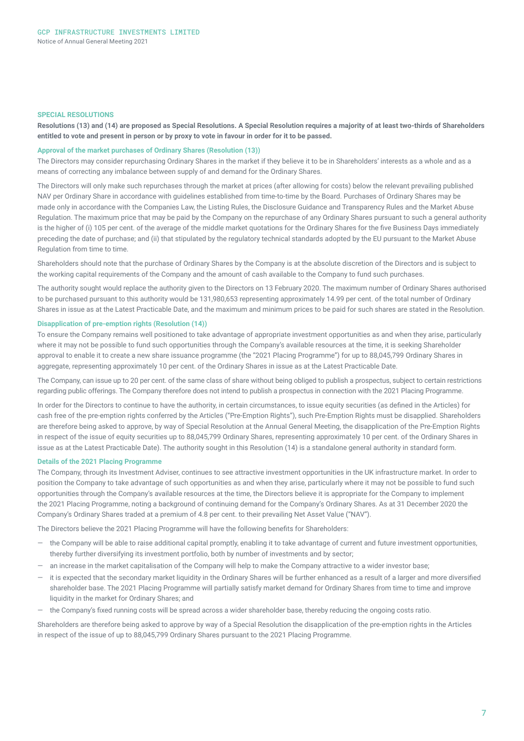#### **SPECIAL RESOLUTIONS**

**Resolutions (13) and (14) are proposed as Special Resolutions. A Special Resolution requires a majority of at least two-thirds of Shareholders entitled to vote and present in person or by proxy to vote in favour in order for it to be passed.** 

#### **Approval of the market purchases of Ordinary Shares (Resolution (13))**

The Directors may consider repurchasing Ordinary Shares in the market if they believe it to be in Shareholders' interests as a whole and as a means of correcting any imbalance between supply of and demand for the Ordinary Shares.

The Directors will only make such repurchases through the market at prices (after allowing for costs) below the relevant prevailing published NAV per Ordinary Share in accordance with guidelines established from time-to-time by the Board. Purchases of Ordinary Shares may be made only in accordance with the Companies Law, the Listing Rules, the Disclosure Guidance and Transparency Rules and the Market Abuse Regulation. The maximum price that may be paid by the Company on the repurchase of any Ordinary Shares pursuant to such a general authority is the higher of (i) 105 per cent. of the average of the middle market quotations for the Ordinary Shares for the five Business Days immediately preceding the date of purchase; and (ii) that stipulated by the regulatory technical standards adopted by the EU pursuant to the Market Abuse Regulation from time to time.

Shareholders should note that the purchase of Ordinary Shares by the Company is at the absolute discretion of the Directors and is subject to the working capital requirements of the Company and the amount of cash available to the Company to fund such purchases.

The authority sought would replace the authority given to the Directors on 13 February 2020. The maximum number of Ordinary Shares authorised to be purchased pursuant to this authority would be 131,980,653 representing approximately 14.99 per cent. of the total number of Ordinary Shares in issue as at the Latest Practicable Date, and the maximum and minimum prices to be paid for such shares are stated in the Resolution.

#### **Disapplication of pre-emption rights (Resolution (14))**

To ensure the Company remains well positioned to take advantage of appropriate investment opportunities as and when they arise, particularly where it may not be possible to fund such opportunities through the Company's available resources at the time, it is seeking Shareholder approval to enable it to create a new share issuance programme (the "2021 Placing Programme") for up to 88,045,799 Ordinary Shares in aggregate, representing approximately 10 per cent. of the Ordinary Shares in issue as at the Latest Practicable Date.

The Company, can issue up to 20 per cent. of the same class of share without being obliged to publish a prospectus, subject to certain restrictions regarding public offerings. The Company therefore does not intend to publish a prospectus in connection with the 2021 Placing Programme.

In order for the Directors to continue to have the authority, in certain circumstances, to issue equity securities (as defined in the Articles) for cash free of the pre-emption rights conferred by the Articles ("Pre-Emption Rights"), such Pre-Emption Rights must be disapplied. Shareholders are therefore being asked to approve, by way of Special Resolution at the Annual General Meeting, the disapplication of the Pre-Emption Rights in respect of the issue of equity securities up to 88,045,799 Ordinary Shares, representing approximately 10 per cent. of the Ordinary Shares in issue as at the Latest Practicable Date). The authority sought in this Resolution (14) is a standalone general authority in standard form.

#### **Details of the 2021 Placing Programme**

The Company, through its Investment Adviser, continues to see attractive investment opportunities in the UK infrastructure market. In order to position the Company to take advantage of such opportunities as and when they arise, particularly where it may not be possible to fund such opportunities through the Company's available resources at the time, the Directors believe it is appropriate for the Company to implement the 2021 Placing Programme, noting a background of continuing demand for the Company's Ordinary Shares. As at 31 December 2020 the Company's Ordinary Shares traded at a premium of 4.8 per cent. to their prevailing Net Asset Value ("NAV").

The Directors believe the 2021 Placing Programme will have the following benefits for Shareholders:

- the Company will be able to raise additional capital promptly, enabling it to take advantage of current and future investment opportunities, thereby further diversifying its investment portfolio, both by number of investments and by sector;
- an increase in the market capitalisation of the Company will help to make the Company attractive to a wider investor base;
- it is expected that the secondary market liquidity in the Ordinary Shares will be further enhanced as a result of a larger and more diversified shareholder base. The 2021 Placing Programme will partially satisfy market demand for Ordinary Shares from time to time and improve liquidity in the market for Ordinary Shares; and
- the Company's fixed running costs will be spread across a wider shareholder base, thereby reducing the ongoing costs ratio.

Shareholders are therefore being asked to approve by way of a Special Resolution the disapplication of the pre-emption rights in the Articles in respect of the issue of up to 88,045,799 Ordinary Shares pursuant to the 2021 Placing Programme.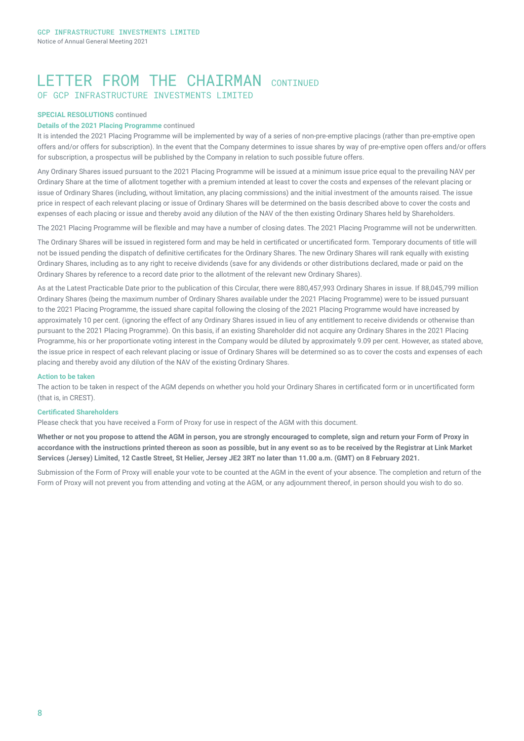## LETTER FROM THE CHATRMAN CONTINUED OF GCP INFRASTRUCTURE INVESTMENTS LIMITED

#### **SPECIAL RESOLUTIONS** continued

#### **Details of the 2021 Placing Programme** continued

It is intended the 2021 Placing Programme will be implemented by way of a series of non-pre-emptive placings (rather than pre-emptive open offers and/or offers for subscription). In the event that the Company determines to issue shares by way of pre-emptive open offers and/or offers for subscription, a prospectus will be published by the Company in relation to such possible future offers.

Any Ordinary Shares issued pursuant to the 2021 Placing Programme will be issued at a minimum issue price equal to the prevailing NAV per Ordinary Share at the time of allotment together with a premium intended at least to cover the costs and expenses of the relevant placing or issue of Ordinary Shares (including, without limitation, any placing commissions) and the initial investment of the amounts raised. The issue price in respect of each relevant placing or issue of Ordinary Shares will be determined on the basis described above to cover the costs and expenses of each placing or issue and thereby avoid any dilution of the NAV of the then existing Ordinary Shares held by Shareholders.

The 2021 Placing Programme will be flexible and may have a number of closing dates. The 2021 Placing Programme will not be underwritten.

The Ordinary Shares will be issued in registered form and may be held in certificated or uncertificated form. Temporary documents of title will not be issued pending the dispatch of definitive certificates for the Ordinary Shares. The new Ordinary Shares will rank equally with existing Ordinary Shares, including as to any right to receive dividends (save for any dividends or other distributions declared, made or paid on the Ordinary Shares by reference to a record date prior to the allotment of the relevant new Ordinary Shares).

As at the Latest Practicable Date prior to the publication of this Circular, there were 880,457,993 Ordinary Shares in issue. If 88,045,799 million Ordinary Shares (being the maximum number of Ordinary Shares available under the 2021 Placing Programme) were to be issued pursuant to the 2021 Placing Programme, the issued share capital following the closing of the 2021 Placing Programme would have increased by approximately 10 per cent. (ignoring the effect of any Ordinary Shares issued in lieu of any entitlement to receive dividends or otherwise than pursuant to the 2021 Placing Programme). On this basis, if an existing Shareholder did not acquire any Ordinary Shares in the 2021 Placing Programme, his or her proportionate voting interest in the Company would be diluted by approximately 9.09 per cent. However, as stated above, the issue price in respect of each relevant placing or issue of Ordinary Shares will be determined so as to cover the costs and expenses of each placing and thereby avoid any dilution of the NAV of the existing Ordinary Shares.

#### **Action to be taken**

The action to be taken in respect of the AGM depends on whether you hold your Ordinary Shares in certificated form or in uncertificated form (that is, in CREST).

#### **Certificated Shareholders**

Please check that you have received a Form of Proxy for use in respect of the AGM with this document.

**Whether or not you propose to attend the AGM in person, you are strongly encouraged to complete, sign and return your Form of Proxy in accordance with the instructions printed thereon as soon as possible, but in any event so as to be received by the Registrar at Link Market Services (Jersey) Limited, 12 Castle Street, St Helier, Jersey JE2 3RT no later than 11.00 a.m. (GMT) on 8 February 2021.**

Submission of the Form of Proxy will enable your vote to be counted at the AGM in the event of your absence. The completion and return of the Form of Proxy will not prevent you from attending and voting at the AGM, or any adjournment thereof, in person should you wish to do so.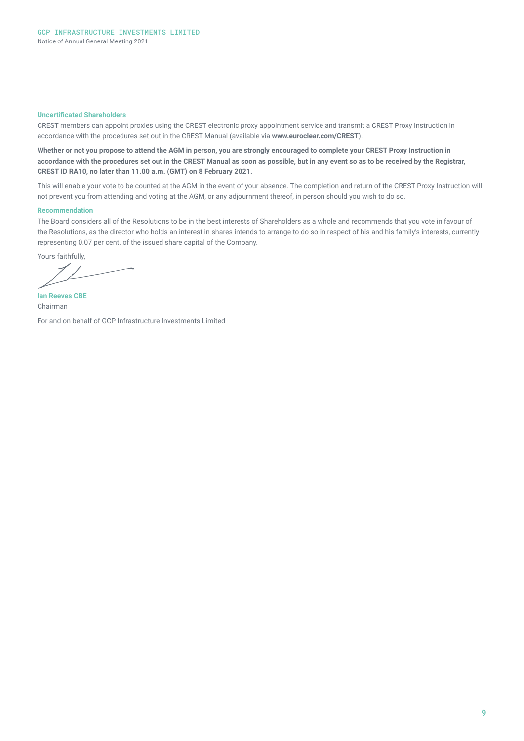#### **Uncertificated Shareholders**

CREST members can appoint proxies using the CREST electronic proxy appointment service and transmit a CREST Proxy Instruction in accordance with the procedures set out in the CREST Manual (available via **www.euroclear.com/CREST**).

**Whether or not you propose to attend the AGM in person, you are strongly encouraged to complete your CREST Proxy Instruction in accordance with the procedures set out in the CREST Manual as soon as possible, but in any event so as to be received by the Registrar, CREST ID RA10, no later than 11.00 a.m. (GMT) on 8 February 2021.**

This will enable your vote to be counted at the AGM in the event of your absence. The completion and return of the CREST Proxy Instruction will not prevent you from attending and voting at the AGM, or any adjournment thereof, in person should you wish to do so.

#### **Recommendation**

The Board considers all of the Resolutions to be in the best interests of Shareholders as a whole and recommends that you vote in favour of the Resolutions, as the director who holds an interest in shares intends to arrange to do so in respect of his and his family's interests, currently representing 0.07 per cent. of the issued share capital of the Company.

Yours faithfully,

**Ian Reeves CBE**  Chairman

For and on behalf of GCP Infrastructure Investments Limited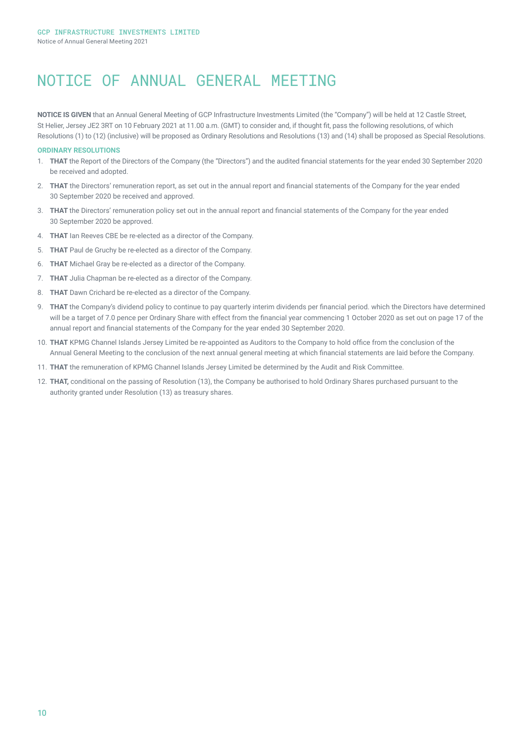## NOTICE OF ANNUAL GENERAL MEETING

**NOTICE IS GIVEN** that an Annual General Meeting of GCP Infrastructure Investments Limited (the "Company") will be held at 12 Castle Street, St Helier, Jersey JE2 3RT on 10 February 2021 at 11.00 a.m. (GMT) to consider and, if thought fit, pass the following resolutions, of which Resolutions (1) to (12) (inclusive) will be proposed as Ordinary Resolutions and Resolutions (13) and (14) shall be proposed as Special Resolutions.

#### **ORDINARY RESOLUTIONS**

- 1. **THAT** the Report of the Directors of the Company (the "Directors") and the audited financial statements for the year ended 30 September 2020 be received and adopted.
- 2. **THAT** the Directors' remuneration report, as set out in the annual report and financial statements of the Company for the year ended 30 September 2020 be received and approved.
- 3. **THAT** the Directors' remuneration policy set out in the annual report and financial statements of the Company for the year ended 30 September 2020 be approved.
- 4. **THAT** Ian Reeves CBE be re-elected as a director of the Company.
- 5. **THAT** Paul de Gruchy be re-elected as a director of the Company.
- 6. **THAT** Michael Gray be re-elected as a director of the Company.
- 7. **THAT** Julia Chapman be re-elected as a director of the Company.
- 8. **THAT** Dawn Crichard be re-elected as a director of the Company.
- 9. **THAT** the Company's dividend policy to continue to pay quarterly interim dividends per financial period. which the Directors have determined will be a target of 7.0 pence per Ordinary Share with effect from the financial year commencing 1 October 2020 as set out on page 17 of the annual report and financial statements of the Company for the year ended 30 September 2020.
- 10. **THAT** KPMG Channel Islands Jersey Limited be re-appointed as Auditors to the Company to hold office from the conclusion of the Annual General Meeting to the conclusion of the next annual general meeting at which financial statements are laid before the Company.
- 11. **THAT** the remuneration of KPMG Channel Islands Jersey Limited be determined by the Audit and Risk Committee.
- 12. **THAT,** conditional on the passing of Resolution (13), the Company be authorised to hold Ordinary Shares purchased pursuant to the authority granted under Resolution (13) as treasury shares.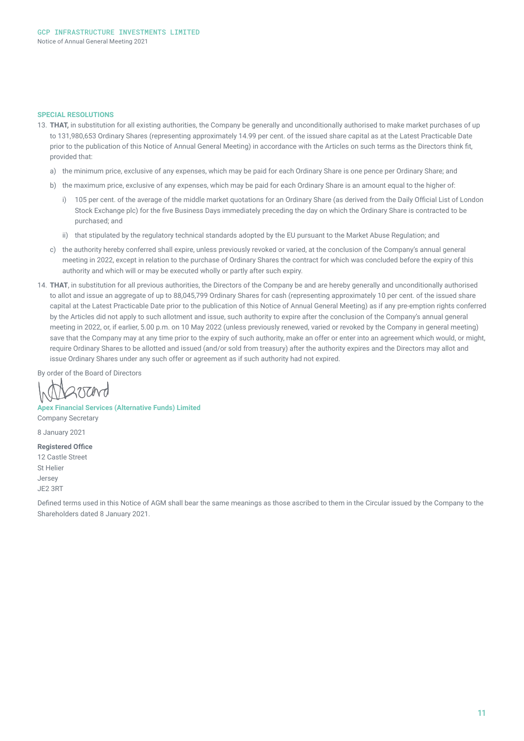#### **SPECIAL RESOLUTIONS**

- 13. **THAT,** in substitution for all existing authorities, the Company be generally and unconditionally authorised to make market purchases of up to 131,980,653 Ordinary Shares (representing approximately 14.99 per cent. of the issued share capital as at the Latest Practicable Date prior to the publication of this Notice of Annual General Meeting) in accordance with the Articles on such terms as the Directors think fit, provided that:
	- a) the minimum price, exclusive of any expenses, which may be paid for each Ordinary Share is one pence per Ordinary Share; and
	- b) the maximum price, exclusive of any expenses, which may be paid for each Ordinary Share is an amount equal to the higher of:
		- i) 105 per cent. of the average of the middle market quotations for an Ordinary Share (as derived from the Daily Official List of London Stock Exchange plc) for the five Business Days immediately preceding the day on which the Ordinary Share is contracted to be purchased; and
		- ii) that stipulated by the regulatory technical standards adopted by the EU pursuant to the Market Abuse Regulation; and
	- c) the authority hereby conferred shall expire, unless previously revoked or varied, at the conclusion of the Company's annual general meeting in 2022, except in relation to the purchase of Ordinary Shares the contract for which was concluded before the expiry of this authority and which will or may be executed wholly or partly after such expiry.
- 14. **THAT**, in substitution for all previous authorities, the Directors of the Company be and are hereby generally and unconditionally authorised to allot and issue an aggregate of up to 88,045,799 Ordinary Shares for cash (representing approximately 10 per cent. of the issued share capital at the Latest Practicable Date prior to the publication of this Notice of Annual General Meeting) as if any pre-emption rights conferred by the Articles did not apply to such allotment and issue, such authority to expire after the conclusion of the Company's annual general meeting in 2022, or, if earlier, 5.00 p.m. on 10 May 2022 (unless previously renewed, varied or revoked by the Company in general meeting) save that the Company may at any time prior to the expiry of such authority, make an offer or enter into an agreement which would, or might, require Ordinary Shares to be allotted and issued (and/or sold from treasury) after the authority expires and the Directors may allot and issue Ordinary Shares under any such offer or agreement as if such authority had not expired.

By order of the Board of Directors

**Apex Financial Services (Alternative Funds) Limited**

Company Secretary

8 January 2021

#### **Registered Office**

12 Castle Street St Helier Jersey

JE2 3RT

Defined terms used in this Notice of AGM shall bear the same meanings as those ascribed to them in the Circular issued by the Company to the Shareholders dated 8 January 2021.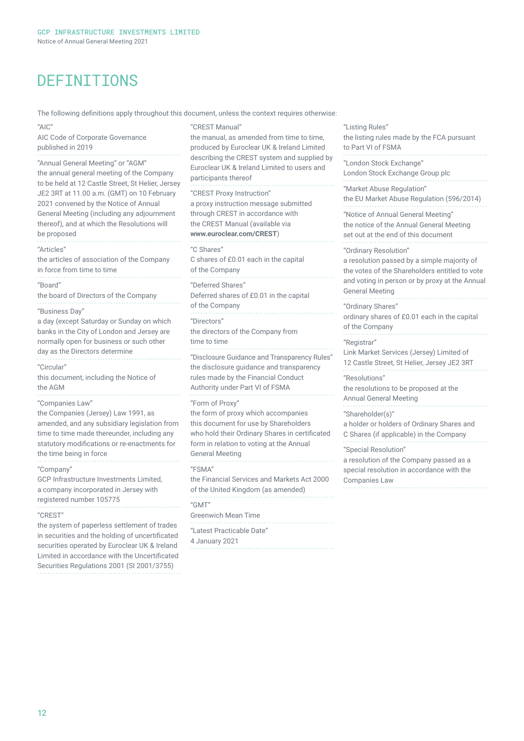## DEFINITIONS

The following definitions apply throughout this document, unless the context requires otherwise:

 $^{\prime\prime}$  $\triangle$ IC'

AIC Code of Corporate Governance published in 2019

"Annual General Meeting" or "AGM"

the annual general meeting of the Company to be held at 12 Castle Street, St Helier, Jersey JE2 3RT at 11.00 a.m. (GMT) on 10 February 2021 convened by the Notice of Annual General Meeting (including any adjournment thereof), and at which the Resolutions will be proposed "Articles" the articles of association of the Company in force from time to time "Board" the board of Directors of the Company "Business Day" a day (except Saturday or Sunday on which banks in the City of London and Jersey are normally open for business or such other

day as the Directors determine "Circular"

this document, including the Notice of the AGM

"Companies Law"

the Companies (Jersey) Law 1991, as amended, and any subsidiary legislation from time to time made thereunder, including any statutory modifications or re-enactments for the time being in force

"Company" GCP Infrastructure Investments Limited, a company incorporated in Jersey with registered number 105775

"CREST"

the system of paperless settlement of trades in securities and the holding of uncertificated securities operated by Euroclear UK & Ireland Limited in accordance with the Uncertificated Securities Regulations 2001 (SI 2001/3755)

"CREST Manual" the manual, as amended from time to time, produced by Euroclear UK & Ireland Limited describing the CREST system and supplied by Euroclear UK & Ireland Limited to users and participants thereof "CREST Proxy Instruction" a proxy instruction message submitted through CREST in accordance with the CREST Manual (available via **www.euroclear.com/CREST**) "C Shares" C shares of £0.01 each in the capital of the Company "Deferred Shares" Deferred shares of £0.01 in the capital of the Company "Directors" the directors of the Company from time to time "Disclosure Guidance and Transparency Rules" the disclosure guidance and transparency rules made by the Financial Conduct Authority under Part VI of FSMA "Form of Proxy" the form of proxy which accompanies this document for use by Shareholders who hold their Ordinary Shares in certificated form in relation to voting at the Annual General Meeting "FSMA" the Financial Services and Markets Act 2000 of the United Kingdom (as amended) "GMT" Greenwich Mean Time "Latest Practicable Date" 4 January 2021

"Listing Rules" the listing rules made by the FCA pursuant to Part VI of FSMA "London Stock Exchange" London Stock Exchange Group plc "Market Abuse Regulation" the EU Market Abuse Regulation (596/2014) "Notice of Annual General Meeting" the notice of the Annual General Meeting set out at the end of this document "Ordinary Resolution" a resolution passed by a simple majority of the votes of the Shareholders entitled to vote and voting in person or by proxy at the Annual General Meeting "Ordinary Shares" ordinary shares of £0.01 each in the capital of the Company "Registrar" Link Market Services (Jersey) Limited of 12 Castle Street, St Helier, Jersey JE2 3RT "Resolutions" the resolutions to be proposed at the Annual General Meeting "Shareholder(s)" a holder or holders of Ordinary Shares and C Shares (if applicable) in the Company "Special Resolution" a resolution of the Company passed as a special resolution in accordance with the Companies Law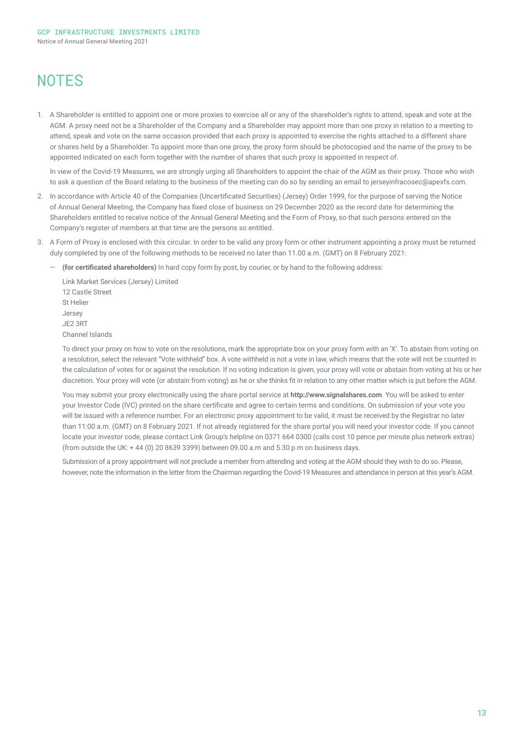## **NOTES**

1. A Shareholder is entitled to appoint one or more proxies to exercise all or any of the shareholder's rights to attend, speak and vote at the AGM. A proxy need not be a Shareholder of the Company and a Shareholder may appoint more than one proxy in relation to a meeting to attend, speak and vote on the same occasion provided that each proxy is appointed to exercise the rights attached to a different share or shares held by a Shareholder. To appoint more than one proxy, the proxy form should be photocopied and the name of the proxy to be appointed indicated on each form together with the number of shares that such proxy is appointed in respect of.

In view of the Covid-19 Measures, we are strongly urging all Shareholders to appoint the chair of the AGM as their proxy. Those who wish to ask a question of the Board relating to the business of the meeting can do so by sending an email to jerseyinfracosec@apexfs.com.

- 2. In accordance with Article 40 of the Companies (Uncertificated Securities) (Jersey) Order 1999, for the purpose of serving the Notice of Annual General Meeting, the Company has fixed close of business on 29 December 2020 as the record date for determining the Shareholders entitled to receive notice of the Annual General Meeting and the Form of Proxy, so that such persons entered on the Company's register of members at that time are the persons so entitled.
- 3. A Form of Proxy is enclosed with this circular. In order to be valid any proxy form or other instrument appointing a proxy must be returned duly completed by one of the following methods to be received no later than 11.00 a.m. (GMT) on 8 February 2021:
	- ― **(for certificated shareholders)** In hard copy form by post, by courier, or by hand to the following address:

Link Market Services (Jersey) Limited 12 Castle Street St Helier Jersey JE2 3RT Channel Islands

To direct your proxy on how to vote on the resolutions, mark the appropriate box on your proxy form with an 'X'. To abstain from voting on a resolution, select the relevant "Vote withheld" box. A vote withheld is not a vote in law, which means that the vote will not be counted in the calculation of votes for or against the resolution. If no voting indication is given, your proxy will vote or abstain from voting at his or her discretion. Your proxy will vote (or abstain from voting) as he or she thinks fit in relation to any other matter which is put before the AGM.

You may submit your proxy electronically using the share portal service at **http://www.signalshares.com**. You will be asked to enter your Investor Code (IVC) printed on the share certificate and agree to certain terms and conditions. On submission of your vote you will be issued with a reference number. For an electronic proxy appointment to be valid, it must be received by the Registrar no later than 11:00 a.m. (GMT) on 8 February 2021. If not already registered for the share portal you will need your investor code. If you cannot locate your investor code, please contact Link Group's helpline on 0371 664 0300 (calls cost 10 pence per minute plus network extras) (from outside the UK: + 44 (0) 20 8639 3399) between 09.00 a.m and 5.30 p.m on business days.

Submission of a proxy appointment will not preclude a member from attending and voting at the AGM should they wish to do so. Please, however, note the information in the letter from the Chairman regarding the Covid-19 Measures and attendance in person at this year's AGM.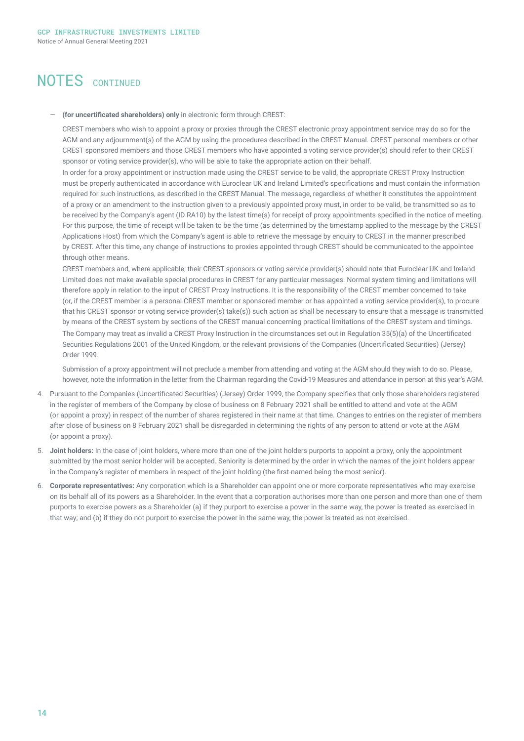## NOTES CONTINUED

#### ― **(for uncertificated shareholders) only** in electronic form through CREST:

CREST members who wish to appoint a proxy or proxies through the CREST electronic proxy appointment service may do so for the AGM and any adjournment(s) of the AGM by using the procedures described in the CREST Manual. CREST personal members or other CREST sponsored members and those CREST members who have appointed a voting service provider(s) should refer to their CREST sponsor or voting service provider(s), who will be able to take the appropriate action on their behalf.

In order for a proxy appointment or instruction made using the CREST service to be valid, the appropriate CREST Proxy Instruction must be properly authenticated in accordance with Euroclear UK and Ireland Limited's specifications and must contain the information required for such instructions, as described in the CREST Manual. The message, regardless of whether it constitutes the appointment of a proxy or an amendment to the instruction given to a previously appointed proxy must, in order to be valid, be transmitted so as to be received by the Company's agent (ID RA10) by the latest time(s) for receipt of proxy appointments specified in the notice of meeting. For this purpose, the time of receipt will be taken to be the time (as determined by the timestamp applied to the message by the CREST Applications Host) from which the Company's agent is able to retrieve the message by enquiry to CREST in the manner prescribed by CREST. After this time, any change of instructions to proxies appointed through CREST should be communicated to the appointee through other means.

CREST members and, where applicable, their CREST sponsors or voting service provider(s) should note that Euroclear UK and Ireland Limited does not make available special procedures in CREST for any particular messages. Normal system timing and limitations will therefore apply in relation to the input of CREST Proxy Instructions. It is the responsibility of the CREST member concerned to take (or, if the CREST member is a personal CREST member or sponsored member or has appointed a voting service provider(s), to procure that his CREST sponsor or voting service provider(s) take(s)) such action as shall be necessary to ensure that a message is transmitted by means of the CREST system by sections of the CREST manual concerning practical limitations of the CREST system and timings. The Company may treat as invalid a CREST Proxy Instruction in the circumstances set out in Regulation 35(5)(a) of the Uncertificated Securities Regulations 2001 of the United Kingdom, or the relevant provisions of the Companies (Uncertificated Securities) (Jersey) Order 1999.

Submission of a proxy appointment will not preclude a member from attending and voting at the AGM should they wish to do so. Please, however, note the information in the letter from the Chairman regarding the Covid-19 Measures and attendance in person at this year's AGM.

- 4. Pursuant to the Companies (Uncertificated Securities) (Jersey) Order 1999, the Company specifies that only those shareholders registered in the register of members of the Company by close of business on 8 February 2021 shall be entitled to attend and vote at the AGM (or appoint a proxy) in respect of the number of shares registered in their name at that time. Changes to entries on the register of members after close of business on 8 February 2021 shall be disregarded in determining the rights of any person to attend or vote at the AGM (or appoint a proxy).
- 5. **Joint holders:** In the case of joint holders, where more than one of the joint holders purports to appoint a proxy, only the appointment submitted by the most senior holder will be accepted. Seniority is determined by the order in which the names of the joint holders appear in the Company's register of members in respect of the joint holding (the first-named being the most senior).
- 6. **Corporate representatives:** Any corporation which is a Shareholder can appoint one or more corporate representatives who may exercise on its behalf all of its powers as a Shareholder. In the event that a corporation authorises more than one person and more than one of them purports to exercise powers as a Shareholder (a) if they purport to exercise a power in the same way, the power is treated as exercised in that way; and (b) if they do not purport to exercise the power in the same way, the power is treated as not exercised.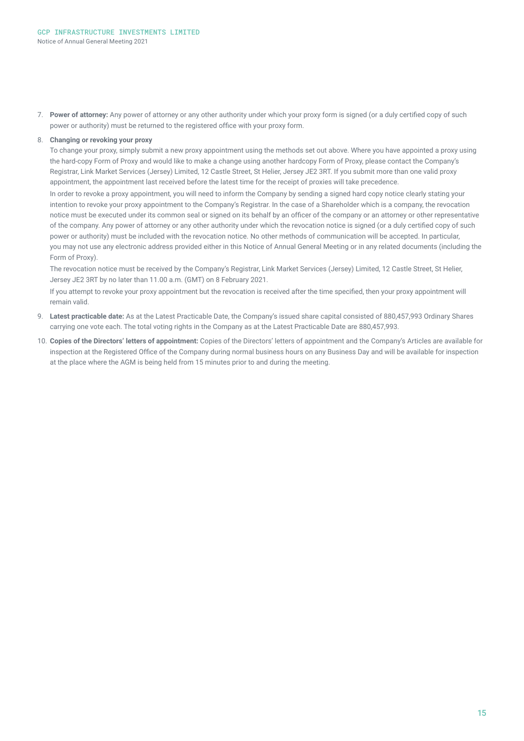7. **Power of attorney:** Any power of attorney or any other authority under which your proxy form is signed (or a duly certified copy of such power or authority) must be returned to the registered office with your proxy form.

#### 8. **Changing or revoking your proxy**

To change your proxy, simply submit a new proxy appointment using the methods set out above. Where you have appointed a proxy using the hard-copy Form of Proxy and would like to make a change using another hardcopy Form of Proxy, please contact the Company's Registrar, Link Market Services (Jersey) Limited, 12 Castle Street, St Helier, Jersey JE2 3RT. If you submit more than one valid proxy appointment, the appointment last received before the latest time for the receipt of proxies will take precedence.

In order to revoke a proxy appointment, you will need to inform the Company by sending a signed hard copy notice clearly stating your intention to revoke your proxy appointment to the Company's Registrar. In the case of a Shareholder which is a company, the revocation notice must be executed under its common seal or signed on its behalf by an officer of the company or an attorney or other representative of the company. Any power of attorney or any other authority under which the revocation notice is signed (or a duly certified copy of such power or authority) must be included with the revocation notice. No other methods of communication will be accepted. In particular, you may not use any electronic address provided either in this Notice of Annual General Meeting or in any related documents (including the Form of Proxy).

The revocation notice must be received by the Company's Registrar, Link Market Services (Jersey) Limited, 12 Castle Street, St Helier, Jersey JE2 3RT by no later than 11.00 a.m. (GMT) on 8 February 2021.

If you attempt to revoke your proxy appointment but the revocation is received after the time specified, then your proxy appointment will remain valid.

- 9. **Latest practicable date:** As at the Latest Practicable Date, the Company's issued share capital consisted of 880,457,993 Ordinary Shares carrying one vote each. The total voting rights in the Company as at the Latest Practicable Date are 880,457,993.
- 10. **Copies of the Directors' letters of appointment:** Copies of the Directors' letters of appointment and the Company's Articles are available for inspection at the Registered Office of the Company during normal business hours on any Business Day and will be available for inspection at the place where the AGM is being held from 15 minutes prior to and during the meeting.